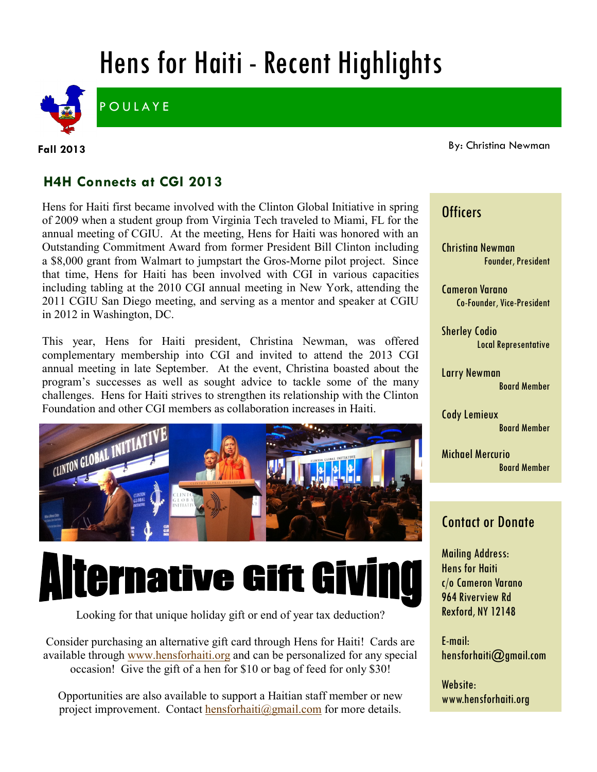## Hens for Haiti - Recent Highlights



**POULAYE** 

**Fall 2013**

By: Christina Newman

### **H4H Connects at CGI 2013**

Hens for Haiti first became involved with the Clinton Global Initiative in spring of 2009 when a student group from Virginia Tech traveled to Miami, FL for the annual meeting of CGIU. At the meeting, Hens for Haiti was honored with an Outstanding Commitment Award from former President Bill Clinton including a \$8,000 grant from Walmart to jumpstart the Gros-Morne pilot project. Since that time, Hens for Haiti has been involved with CGI in various capacities including tabling at the 2010 CGI annual meeting in New York, attending the 2011 CGIU San Diego meeting, and serving as a mentor and speaker at CGIU in 2012 in Washington, DC.

This year, Hens for Haiti president, Christina Newman, was offered complementary membership into CGI and invited to attend the 2013 CGI annual meeting in late September. At the event, Christina boasted about the program's successes as well as sought advice to tackle some of the many challenges. Hens for Haiti strives to strengthen its relationship with the Clinton Foundation and other CGI members as collaboration increases in Haiti.



# **Alternative Gift Givin**

Looking for that unique holiday gift or end of year tax deduction?

Consider purchasing an alternative gift card through Hens for Haiti! Cards are available through [www.hensforhaiti.org](http://www.hensforhaiti.org/) and can be personalized for any special occasion! Give the gift of a hen for \$10 or bag of feed for only \$30!

Opportunities are also available to support a Haitian staff member or new project improvement. Contact [hensforhaiti@gmail.com](mailto:hensforhaiti@gmail.com?subject=Alternative%20Gift%20Giving) for more details.

#### **Officers**

Christina Newman Founder, President

Cameron Varano Co-Founder, Vice-President

Sherley Codio Local Representative

Larry Newman Board Member

Cody Lemieux Board Member

Michael Mercurio Board Member

### Contact or Donate

Mailing Address: Hens for Haiti c/o Cameron Varano 964 Riverview Rd Rexford, NY 12148

E-mail: hensforhaiti@gmail.com

Website: www.hensforhaiti.org